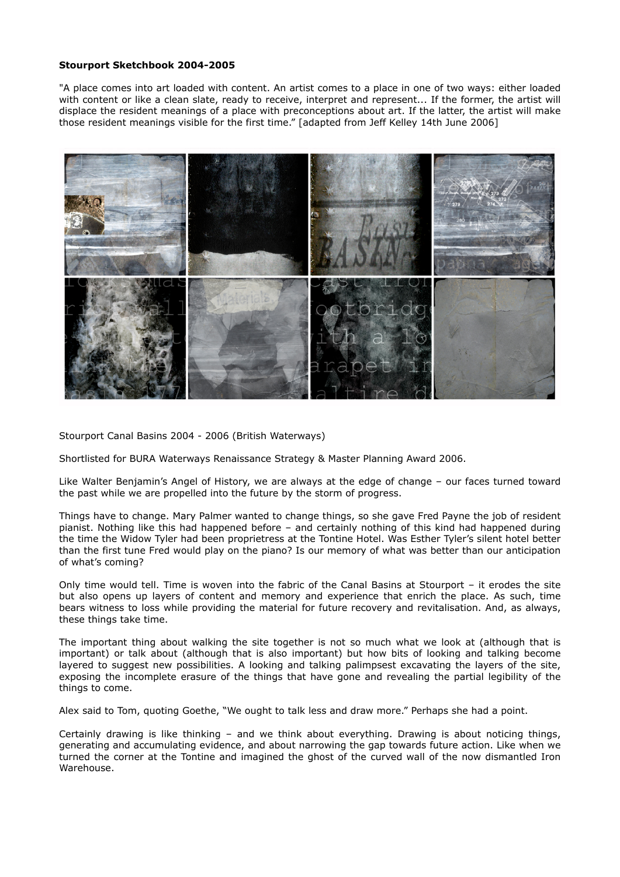## **Stourport Sketchbook 2004-2005**

"A place comes into art loaded with content. An artist comes to a place in one of two ways: either loaded with content or like a clean slate, ready to receive, interpret and represent... If the former, the artist will displace the resident meanings of a place with preconceptions about art. If the latter, the artist will make those resident meanings visible for the first time." [adapted from Jeff Kelley 14th June 2006]



Stourport Canal Basins 2004 - 2006 (British Waterways)

Shortlisted for BURA Waterways Renaissance Strategy & Master Planning Award 2006.

Like Walter Benjamin's Angel of History, we are always at the edge of change – our faces turned toward the past while we are propelled into the future by the storm of progress.

Things have to change. Mary Palmer wanted to change things, so she gave Fred Payne the job of resident pianist. Nothing like this had happened before – and certainly nothing of this kind had happened during the time the Widow Tyler had been proprietress at the Tontine Hotel. Was Esther Tyler's silent hotel better than the first tune Fred would play on the piano? Is our memory of what was better than our anticipation of what's coming?

Only time would tell. Time is woven into the fabric of the Canal Basins at Stourport – it erodes the site but also opens up layers of content and memory and experience that enrich the place. As such, time bears witness to loss while providing the material for future recovery and revitalisation. And, as always, these things take time.

The important thing about walking the site together is not so much what we look at (although that is important) or talk about (although that is also important) but how bits of looking and talking become layered to suggest new possibilities. A looking and talking palimpsest excavating the layers of the site, exposing the incomplete erasure of the things that have gone and revealing the partial legibility of the things to come.

Alex said to Tom, quoting Goethe, "We ought to talk less and draw more." Perhaps she had a point.

Certainly drawing is like thinking – and we think about everything. Drawing is about noticing things, generating and accumulating evidence, and about narrowing the gap towards future action. Like when we turned the corner at the Tontine and imagined the ghost of the curved wall of the now dismantled Iron Warehouse.